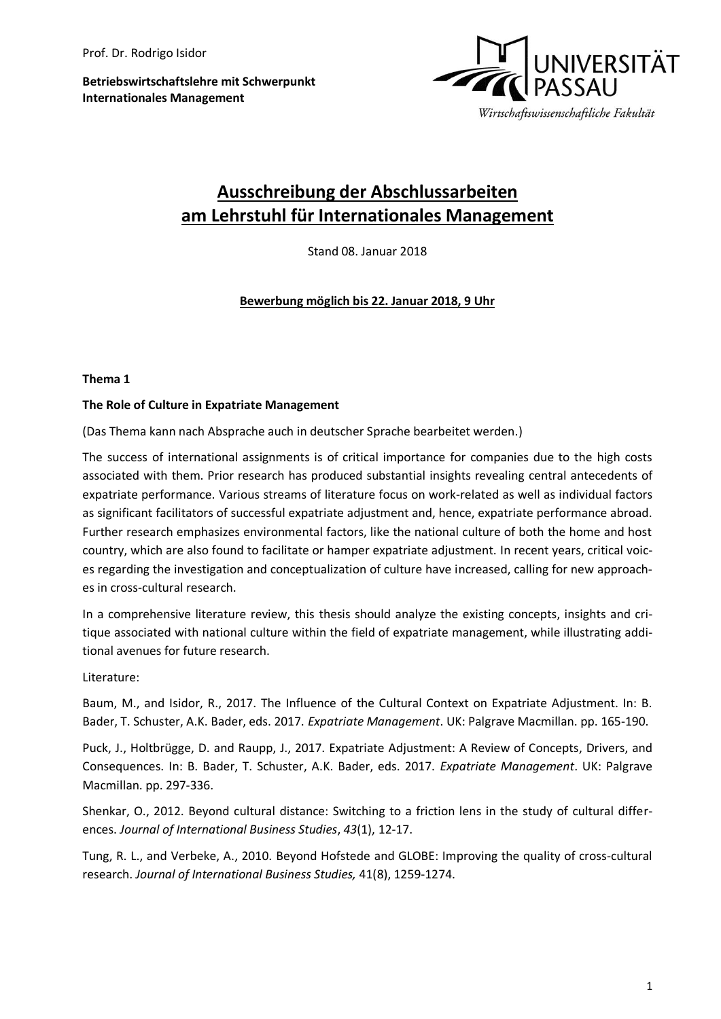**Betriebswirtschaftslehre mit Schwerpunkt Internationales Management**



# **Ausschreibung der Abschlussarbeiten am Lehrstuhl für Internationales Management**

Stand 08. Januar 2018

**Bewerbung möglich bis 22. Januar 2018, 9 Uhr**

### **Thema 1**

### **The Role of Culture in Expatriate Management**

(Das Thema kann nach Absprache auch in deutscher Sprache bearbeitet werden.)

The success of international assignments is of critical importance for companies due to the high costs associated with them. Prior research has produced substantial insights revealing central antecedents of expatriate performance. Various streams of literature focus on work-related as well as individual factors as significant facilitators of successful expatriate adjustment and, hence, expatriate performance abroad. Further research emphasizes environmental factors, like the national culture of both the home and host country, which are also found to facilitate or hamper expatriate adjustment. In recent years, critical voices regarding the investigation and conceptualization of culture have increased, calling for new approaches in cross-cultural research.

In a comprehensive literature review, this thesis should analyze the existing concepts, insights and critique associated with national culture within the field of expatriate management, while illustrating additional avenues for future research.

Literature:

Baum, M., and Isidor, R., 2017. The Influence of the Cultural Context on Expatriate Adjustment. In: B. Bader, T. Schuster, A.K. Bader, eds. 2017. *Expatriate Management*. UK: Palgrave Macmillan. pp. 165-190.

Puck, J., Holtbrügge, D. and Raupp, J., 2017. Expatriate Adjustment: A Review of Concepts, Drivers, and Consequences. In: B. Bader, T. Schuster, A.K. Bader, eds. 2017. *Expatriate Management*. UK: Palgrave Macmillan. pp. 297-336.

Shenkar, O., 2012. Beyond cultural distance: Switching to a friction lens in the study of cultural differences. *Journal of International Business Studies*, *43*(1), 12-17.

Tung, R. L., and Verbeke, A., 2010. Beyond Hofstede and GLOBE: Improving the quality of cross-cultural research. *Journal of International Business Studies,* 41(8), 1259-1274.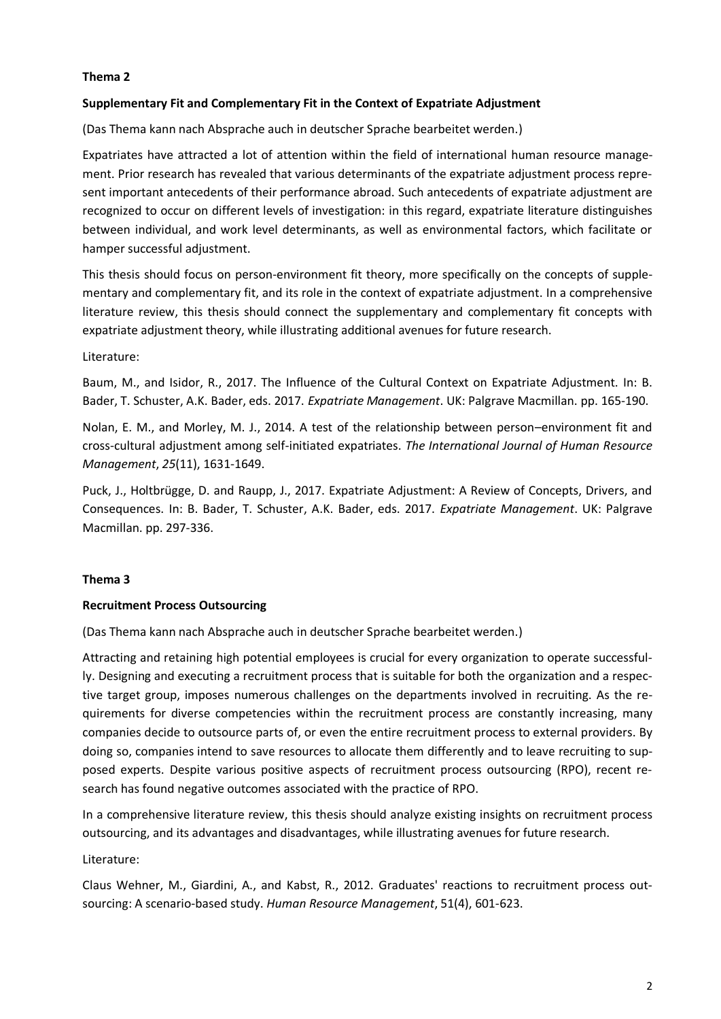# **Thema 2**

## **Supplementary Fit and Complementary Fit in the Context of Expatriate Adjustment**

(Das Thema kann nach Absprache auch in deutscher Sprache bearbeitet werden.)

Expatriates have attracted a lot of attention within the field of international human resource management. Prior research has revealed that various determinants of the expatriate adjustment process represent important antecedents of their performance abroad. Such antecedents of expatriate adjustment are recognized to occur on different levels of investigation: in this regard, expatriate literature distinguishes between individual, and work level determinants, as well as environmental factors, which facilitate or hamper successful adjustment.

This thesis should focus on person-environment fit theory, more specifically on the concepts of supplementary and complementary fit, and its role in the context of expatriate adjustment. In a comprehensive literature review, this thesis should connect the supplementary and complementary fit concepts with expatriate adjustment theory, while illustrating additional avenues for future research.

## Literature:

Baum, M., and Isidor, R., 2017. The Influence of the Cultural Context on Expatriate Adjustment. In: B. Bader, T. Schuster, A.K. Bader, eds. 2017. *Expatriate Management*. UK: Palgrave Macmillan. pp. 165-190.

Nolan, E. M., and Morley, M. J., 2014. A test of the relationship between person–environment fit and cross-cultural adjustment among self-initiated expatriates. *The International Journal of Human Resource Management*, *25*(11), 1631-1649.

Puck, J., Holtbrügge, D. and Raupp, J., 2017. Expatriate Adjustment: A Review of Concepts, Drivers, and Consequences. In: B. Bader, T. Schuster, A.K. Bader, eds. 2017. *Expatriate Management*. UK: Palgrave Macmillan. pp. 297-336.

# **Thema 3**

### **Recruitment Process Outsourcing**

(Das Thema kann nach Absprache auch in deutscher Sprache bearbeitet werden.)

Attracting and retaining high potential employees is crucial for every organization to operate successfully. Designing and executing a recruitment process that is suitable for both the organization and a respective target group, imposes numerous challenges on the departments involved in recruiting. As the requirements for diverse competencies within the recruitment process are constantly increasing, many companies decide to outsource parts of, or even the entire recruitment process to external providers. By doing so, companies intend to save resources to allocate them differently and to leave recruiting to supposed experts. Despite various positive aspects of recruitment process outsourcing (RPO), recent research has found negative outcomes associated with the practice of RPO.

In a comprehensive literature review, this thesis should analyze existing insights on recruitment process outsourcing, and its advantages and disadvantages, while illustrating avenues for future research.

### Literature:

Claus Wehner, M., Giardini, A., and Kabst, R., 2012. Graduates' reactions to recruitment process outsourcing: A scenario‐based study. *Human Resource Management*, 51(4), 601-623.